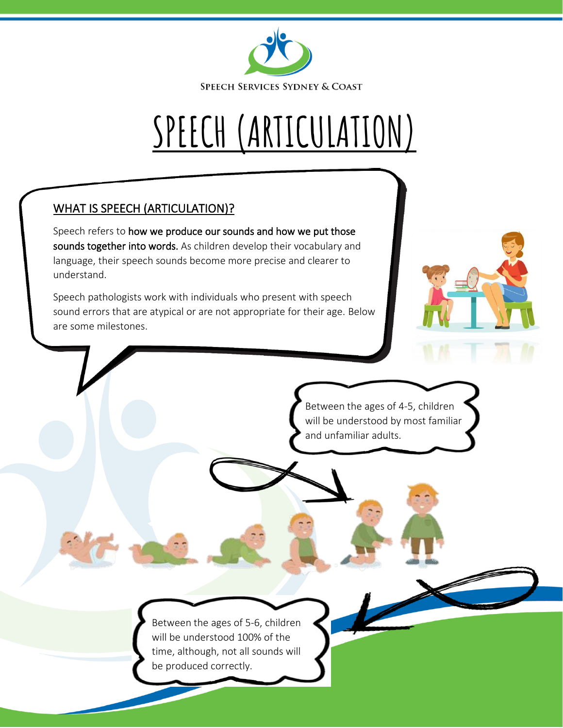

# **SPEECH (ARTICULATION)**

## WHAT IS SPEECH (ARTICULATION)?

Speech refers to how we produce our sounds and how we put those sounds together into words. As children develop their vocabulary and language, their speech sounds become more precise and clearer to understand.

Speech pathologists work with individuals who present with speech sound errors that are atypical or are not appropriate for their age. Below are some milestones.



Between the ages of 4-5, children will be understood by most familiar and unfamiliar adults.

Between the ages of 5-6, children will be understood 100% of the time, although, not all sounds will be produced correctly.